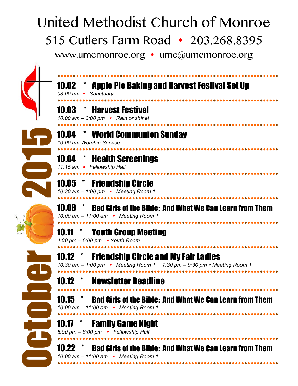## United Methodist Church of Monroe

515 Cutlers Farm Road • 203.268.8395

www.umcmonroe.org • umc@umcmonroe.org



| <b>Apple Pie Baking and Harvest Festival Set Up</b><br>10.02<br>08:00 am • Sanctuary                                                           |
|------------------------------------------------------------------------------------------------------------------------------------------------|
| <b>*</b> Harvest Festival<br>10.03<br>10:00 am - 3:00 pm • Rain or shine!                                                                      |
| * World Communion Sunday<br>10.04<br>10:00 am Worship Service                                                                                  |
| <b>10.04 * Health Screenings</b><br>11:15 am • Fellowship Hall                                                                                 |
| 10.05 * Friendship Circle<br>10:30 am - 1:00 pm • Meeting Room 1                                                                               |
| <b>Bad Girls of the Bible: And What We Can Learn from Them</b><br>10.08<br>10:00 am - 11:00 am • Meeting Room 1                                |
| <b>Youth Group Meeting</b><br>10.11<br>4:00 pm $-$ 6:00 pm • Youth Room                                                                        |
| <b>Friendship Circle and My Fair Ladies</b><br>$10.12$ $\degree$<br>10:30 am $-$ 1:00 pm • Meeting Room 1 7:30 pm $-$ 9:30 pm • Meeting Room 1 |
| <b>Newsletter Deadline</b>                                                                                                                     |
| 10.15<br><b>Bad Girls of the Bible: And What We Can Learn from Them</b><br>10:00 am - 11:00 am • Meeting Room 1                                |
| <b>Family Game Night</b><br>10.1/<br>6:00 pm - 8:00 pm • Fellowship Hall                                                                       |
| <b>Bad Girls of the Bible: And What We Can Learn from Them</b><br><b>10.22</b><br>10:00 am - 11:00 am • Meeting Room 1                         |
|                                                                                                                                                |